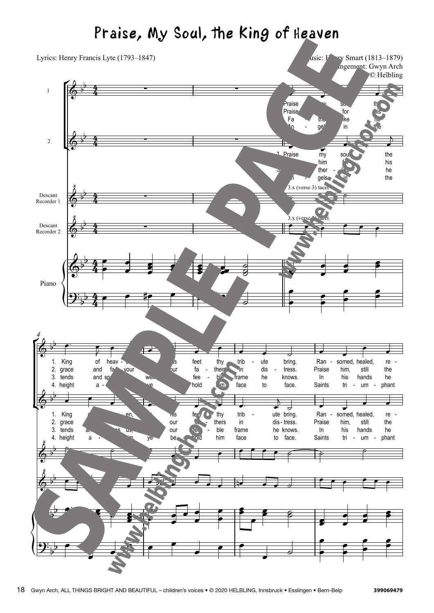## Praise, My Soul, the King of Heaven  $P_r$ ,  $P_{\text{tot}}$  so any the king of Heaven

r<br>F ¢  $\left\{\right\}$ ° ¢  $\left\{\right\}$ 1 2 Descant Recorder 1 Descant Recorder 2 Piano <sup>5</sup>raise Praise Fa  $^4$ n my the, ge - -  $S_{\nu_{\infty}}$ for like in  $th$ . his he the Praise An my him ther gels soul,  $f_{\alpha}$ like in the his he the King grace 3. tends 4. height of and and  $sp$ a heav fa - dore en, vour us, him, - to we ye his our be feet fa fee - hold thy ther ble him - trib in frame face ute dis he to - ute bring. tress. knows. face. - Ran -Praise In Saints - somed, healed, him, his tri still hands - um re the he - phant - *4* King 2. grace 3. tends 4. height of and a heav fa spares  $$ en, us, him, to ye his our our be feet<sup>o</sup> la. fee - hold thy thers ble him - trib in frame face dis - tress. ute bring. he knows. to face. Ran Praise In Saints - somed, healed, him, his tri still hands - um re the he - phant - 4 4 4  $\frac{4}{4}$ 4  $\frac{4}{4}$ 4  $\frac{4}{4}$ 4  $\frac{4}{4}$ 4  $\frac{4}{4}$  $\overline{\mathbb{G}}^{\flat}$ b ∑ ∑ Lyrics: Henry Francis Lyte  $(1793-1847)$  Music: Henry Smart  $(1813-1879)$ Arrangement: Gwyn Arch © Helbling  $\overline{\mathbb{G}}$  b  $\frac{1}{2}$   $\frac{2}{2}$   $\frac{2}{2}$   $\frac{2}{2}$   $\frac{2}{2}$   $\frac{2}{2}$   $\frac{2}{2}$   $\frac{2}{2}$   $\frac{2}{2}$   $\frac{2}{2}$   $\frac{2}{2}$   $\frac{2}{2}$   $\frac{2}{2}$   $\frac{2}{2}$   $\frac{2}{2}$   $\frac{2}{2}$   $\frac{2}{2}$   $\frac{2}{2}$   $\frac{2}{2}$   $\frac{2}{2}$   $\frac{2}{2}$   $\frac{2}{2}$  4.  $\overline{Q}$ 1.  $\Phi$ <u>ጰ</u> b  $\frac{3 \times \text{(verse 3) tace}}{2}$  $\Phi$ <u>ጰ</u> b  $\frac{3 \times \text{(verse)}}{2}$  $\overline{\mathbb{P}}$ b  $\mathbf{\mathcal{P}}$  , b  $\overline{\mathbb{G}}$  by b 1. 2.  $\overline{\mathbb{G}}^{\,\flat}$ b 1.  $\Phi$ ‹ b b  $\Phi$ ‹ b b &b b  $\mathbf{\mathcal{P}}$ b **e** <sup>œ</sup> <sup>œ</sup> œ. <sup>œ</sup>  $\overline{ }$  $3.x$  (verse 3) tace  $\frac{m}{2}$ œ  $\qquad \qquad \bullet$ œ ë<br>J œ  $\overrightarrow{\bullet}$ **P** œ œ œ œ œœœ  $\breve{\theta}$  $\frac{\partial}{\partial \mathcal{S}}$  $\frac{1}{2}$ œ œ œ œ œ  $\frac{1}{2}$   $\frac{2}{2}$ œ œ œ# œ œ œn  $\frac{1}{2}$ œ œ œ œ œ œ œ œ  $\overrightarrow{e}$ <sup>J</sup> <sup>œ</sup> <sup>œ</sup> <sup>œ</sup> <sup>œ</sup> <sup>œ</sup> <sup>œ</sup> <sup>œ</sup> <sup>œ</sup> ˙ <sup>œ</sup> <sup>œ</sup> <sup>œ</sup> <sup>œ</sup> <sup>œ</sup> <sup>œ</sup> <sup>œ</sup> <sup>œ</sup> <sup>œ</sup> <sup>œ</sup> <sup>œ</sup> <sup>œ</sup> œ. <sup>œ</sup>  $j \neq 0$  $\begin{picture}(180,190)(-0.00,0.00) \put(0,0){\line(1,0){10}} \put(10,0){\line(1,0){10}} \put(10,0){\line(1,0){10}} \put(10,0){\line(1,0){10}} \put(10,0){\line(1,0){10}} \put(10,0){\line(1,0){10}} \put(10,0){\line(1,0){10}} \put(10,0){\line(1,0){10}} \put(10,0){\line(1,0){10}} \put(10,0){\line(1,0){10}} \put(10,0){\line(1,0){10$ <sup>œ</sup> <sup>œ</sup> <sup>œ</sup> <sup>œ</sup> <sup>œ</sup> <sup>œ</sup> œb <sup>œ</sup> <sup>œ</sup> <sup>œ</sup> <sup>œ</sup> œn <sup>œ</sup> <sup>œ</sup> ˙ <sup>œ</sup> <sup>œ</sup> <sup>œ</sup> <sup>œ</sup> <sup>œ</sup> <sup>œ</sup> œ œœ. .  $\overline{\mathbf{e}}$ œœ œ œ œ œ  $\qquad \qquad$  $\overline{\cdot}$ œ  $\overline{\ }$ œ œœ œ  $\frac{2}{5}$ œ  $\overrightarrow{z}$ œ œ  $\frac{1}{2}$ œ œ œ œ œ œ œ  $\overline{\cdot}$  $\overrightarrow{ }$  $\frac{1}{2}$ œ œ œ œ œ œ œ œ